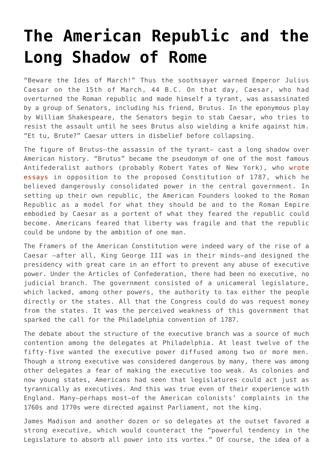## **[The American Republic and the](https://intellectualtakeout.org/2016/08/the-american-republic-and-the-long-shadow-of-rome/) [Long Shadow of Rome](https://intellectualtakeout.org/2016/08/the-american-republic-and-the-long-shadow-of-rome/)**

"Beware the Ides of March!" Thus the soothsayer warned Emperor Julius Caesar on the 15th of March, 44 B.C. On that day, Caesar, who had overturned the Roman republic and made himself a tyrant, was assassinated by a group of Senators, including his friend, Brutus. In the eponymous play by William Shakespeare, the Senators begin to stab Caesar, who tries to resist the assault until he sees Brutus also wielding a knife against him. "Et tu, Brute?" Caesar utters in disbelief before collapsing.

The figure of Brutus—the assassin of the tyrant— cast a long shadow over American history. "Brutus" became the pseudonym of one of the most famous Antifederalist authors (probably Robert Yates of New York), who [wrote](http://teachingamericanhistory.org/library/index.asp?document=849) [essays i](http://teachingamericanhistory.org/library/index.asp?document=849)n opposition to the proposed Constitution of 1787, which he believed dangerously consolidated power in the central government. In setting up their own republic, the American Founders looked to the Roman Republic as a model for what they should be and to the Roman Empire embodied by Caesar as a portent of what they feared the republic could become. Americans feared that liberty was fragile and that the republic could be undone by the ambition of one man.

The Framers of the American Constitution were indeed wary of the rise of a Caesar —after all, King George III was in their minds—and designed the presidency with great care in an effort to prevent any abuse of executive power. Under the Articles of Confederation, there had been no executive, no judicial branch. The government consisted of a unicameral legislature, which lacked, among other powers, the authority to tax either the people directly or the states. All that the Congress could do was request money from the states. It was the perceived weakness of this government that sparked the call for the Philadelphia convention of 1787.

The debate about the structure of the executive branch was a source of much contention among the delegates at Philadelphia. At least twelve of the fifty-five wanted the executive power diffused among two or more men. Though a strong executive was considered dangerous by many, there was among other delegates a fear of making the executive too weak. As colonies and now young states, Americans had seen that legislatures could act just as tyrannically as executives. And this was true even of their experience with England. Many—perhaps most—of the American colonists' complaints in the 1760s and 1770s were directed against Parliament, not the king.

James Madison and another dozen or so delegates at the outset favored a strong executive, which would counteract the "powerful tendency in the Legislature to absorb all power into its vortex." Of course, the idea of a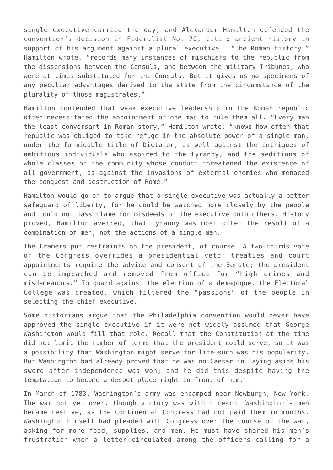single executive carried the day, and Alexander Hamilton defended the convention's decision in Federalist No. 70, citing ancient history in support of his argument against a plural executive. "The Roman history," Hamilton wrote, "records many instances of mischiefs to the republic from the dissensions between the Consuls, and between the military Tribunes, who were at times substituted for the Consuls. But it gives us no specimens of any peculiar advantages derived to the state from the circumstance of the plurality of those magistrates."

Hamilton contended that weak executive leadership in the Roman republic often necessitated the appointment of one man to rule them all. "Every man the least conversant in Roman story," Hamilton wrote, "knows how often that republic was obliged to take refuge in the absolute power of a single man, under the formidable title of Dictator, as well against the intrigues of ambitious individuals who aspired to the tyranny, and the seditions of whole classes of the community whose conduct threatened the existence of all government, as against the invasions of external enemies who menaced the conquest and destruction of Rome."

Hamilton would go on to argue that a single executive was actually a better safeguard of liberty, for he could be watched more closely by the people and could not pass blame for misdeeds of the executive onto others. History proved, Hamilton averred, that tyranny was most often the result of a combination of men, not the actions of a single man.

The Framers put restraints on the president, of course. A two-thirds vote of the Congress overrides a presidential veto; treaties and court appointments require the advice and consent of the Senate; the president can be impeached and removed from office for "high crimes and misdemeanors." To guard against the election of a demagogue, the Electoral College was created, which filtered the "passions" of the people in selecting the chief executive.

Some historians argue that the Philadelphia convention would never have approved the single executive if it were not widely assumed that George Washington would fill that role. Recall that the Constitution at the time did not limit the number of terms that the president could serve, so it was a possibility that Washington might serve for life—such was his popularity. But Washington had already proved that he was no Caesar in laying aside his sword after independence was won; and he did this despite having the temptation to become a despot place right in front of him.

In March of 1783, Washington's army was encamped near Newburgh, New York. The war not yet over, though victory was within reach. Washington's men became restive, as the Continental Congress had not paid them in months. Washington himself had pleaded with Congress over the course of the war, asking for more food, supplies, and men. He must have shared his men's frustration when a letter circulated among the officers calling for a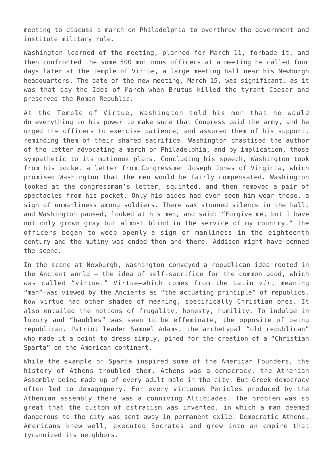meeting to discuss a march on Philadelphia to overthrow the government and institute military rule.

Washington learned of the meeting, planned for March 11, forbade it, and then confronted the some 500 mutinous officers at a meeting he called four days later at the Temple of Virtue, a large meeting hall near his Newburgh headquarters. The date of the new meeting, March 15, was significant, as it was that day—the Ides of March—when Brutus killed the tyrant Caesar and preserved the Roman Republic.

At the Temple of Virtue, Washington told his men that he would do everything in his power to make sure that Congress paid the army, and he urged the officers to exercise patience, and assured them of his support, reminding them of their shared sacrifice. Washington chastised the author of the letter advocating a march on Philadelphia, and by implication, those sympathetic to its mutinous plans. Concluding his speech, Washington took from his pocket a letter from Congressmen Joseph Jones of Virginia, which promised Washington that the men would be fairly compensated. Washington looked at the congressman's letter, squinted, and then removed a pair of spectacles from his pocket. Only his aides had ever seen him wear these, a sign of unmanliness among soldiers. There was stunned silence in the hall, and Washington paused, looked at his men, and said: "Forgive me, but I have not only grown gray but almost blind in the service of my country." The officers began to weep openly—a sign of manliness in the eighteenth century—and the mutiny was ended then and there. Addison might have penned the scene.

In the scene at Newburgh, Washington conveyed a republican idea rooted in the Ancient world – the idea of self-sacrifice for the common good, which was called "virtue." Virtue—which comes from the Latin *vir*, meaning "man"—was viewed by the Ancients as "the actuating principle" of republics. Now virtue had other shades of meaning, specifically Christian ones. It also entailed the notions of frugality, honesty, humility. To indulge in luxury and "baubles" was seen to be effeminate, the opposite of being republican. Patriot leader Samuel Adams, the archetypal "old republican" who made it a point to dress simply, pined for the creation of a "Christian Sparta" on the American continent.

While the example of Sparta inspired some of the American Founders, the history of Athens troubled them. Athens was a democracy, the Athenian Assembly being made up of every adult male in the city. But Greek democracy often led to demagoguery. For every virtuous Pericles produced by the Athenian assembly there was a conniving Alcibiades. The problem was so great that the custom of ostracism was invented, in which a man deemed dangerous to the city was sent away in permanent exile. Democratic Athens, Americans knew well, executed Socrates and grew into an empire that tyrannized its neighbors.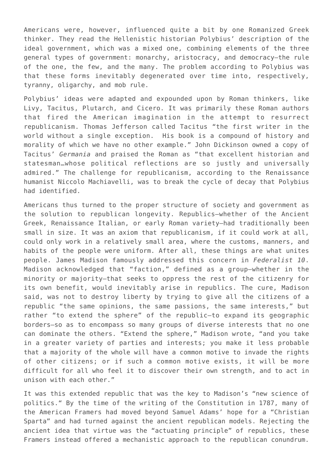Americans were, however, influenced quite a bit by one Romanized Greek thinker. They read the Hellenistic historian Polybius' description of the ideal government, which was a mixed one, combining elements of the three general types of government: monarchy, aristocracy, and democracy—the rule of the one, the few, and the many. The problem according to Polybius was that these forms inevitably degenerated over time into, respectively, tyranny, oligarchy, and mob rule.

Polybius' ideas were adapted and expounded upon by Roman thinkers, like Livy, Tacitus, Plutarch, and Cicero. It was primarily these Roman authors that fired the American imagination in the attempt to resurrect republicanism. Thomas Jefferson called Tacitus "the first writer in the world without a single exception. His book is a compound of history and morality of which we have no other example." John Dickinson owned a copy of Tacitus' *Germania* and praised the Roman as "that excellent historian and statesman…whose political reflections are so justly and universally admired." The challenge for republicanism, according to the Renaissance humanist Niccolo Machiavelli, was to break the cycle of decay that Polybius had identified.

Americans thus turned to the proper structure of society and government as the solution to republican longevity. Republics—whether of the Ancient Greek, Renaissance Italian, or early Roman variety—had traditionally been small in size. It was an axiom that republicanism, if it could work at all, could only work in a relatively small area, where the customs, manners, and habits of the people were uniform. After all, these things are what unites people. James Madison famously addressed this concern in *Federalist 10*. Madison acknowledged that "faction," defined as a group—whether in the minority or majority—that seeks to oppress the rest of the citizenry for its own benefit, would inevitably arise in republics. The cure, Madison said, was not to destroy liberty by trying to give all the citizens of a republic "the same opinions, the same passions, the same interests," but rather "to extend the sphere" of the republic—to expand its geographic borders—so as to encompass so many groups of diverse interests that no one can dominate the others. "Extend the sphere," Madison wrote, "and you take in a greater variety of parties and interests; you make it less probable that a majority of the whole will have a common motive to invade the rights of other citizens; or if such a common motive exists, it will be more difficult for all who feel it to discover their own strength, and to act in unison with each other."

It was this extended republic that was the key to Madison's "new science of politics." By the time of the writing of the Constitution in 1787, many of the American Framers had moved beyond Samuel Adams' hope for a "Christian Sparta" and had turned against the ancient republican models. Rejecting the ancient idea that virtue was the "actuating principle" of republics, these Framers instead offered a mechanistic approach to the republican conundrum.